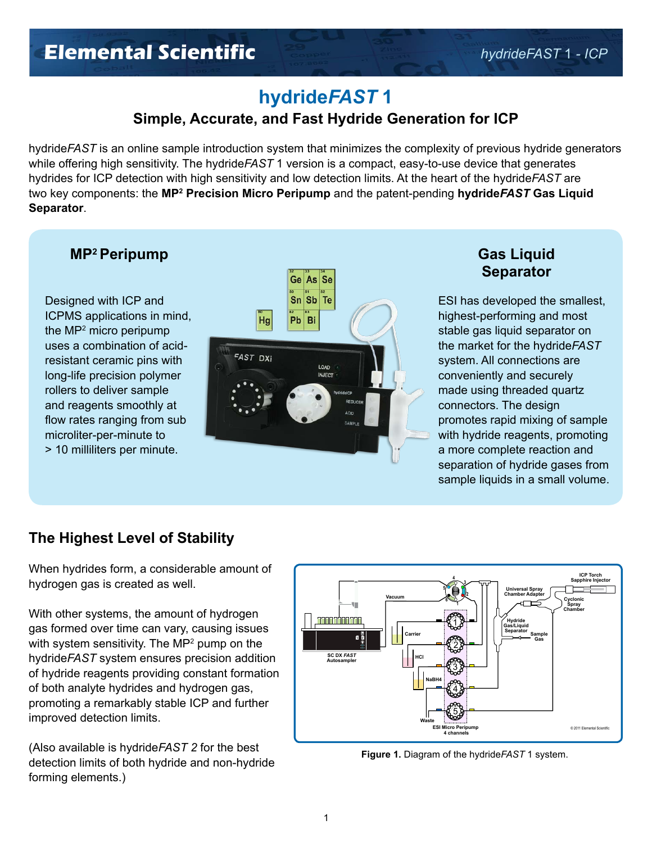### **hydride***FAST* **1**

### **Simple, Accurate, and Fast Hydride Generation for ICP**

hydride*FAST* is an online sample introduction system that minimizes the complexity of previous hydride generators while offering high sensitivity. The hydride*FAST* 1 version is a compact, easy-to-use device that generates hydrides for ICP detection with high sensitivity and low detection limits. At the heart of the hydride*FAST* are two key components: the **MP2 Precision Micro Peripump** and the patent-pending **hydride***FAST* **Gas Liquid Separator**.

#### **MP2 Peripump Gas Liquid**

Designed with ICP and ICPMS applications in mind, the MP2 micro peripump uses a combination of acidresistant ceramic pins with long-life precision polymer rollers to deliver sample and reagents smoothly at flow rates ranging from sub microliter-per-minute to > 10 milliliters per minute.



# **Separator**

ESI has developed the smallest, highest-performing and most stable gas liquid separator on the market for the hydride*FAST*  system. All connections are conveniently and securely made using threaded quartz connectors. The design promotes rapid mixing of sample with hydride reagents, promoting a more complete reaction and separation of hydride gases from sample liquids in a small volume.

### **The Highest Level of Stability**

When hydrides form, a considerable amount of hydrogen gas is created as well.

With other systems, the amount of hydrogen gas formed over time can vary, causing issues with system sensitivity. The MP2 pump on the hydride*FAST* system ensures precision addition of hydride reagents providing constant formation of both analyte hydrides and hydrogen gas, promoting a remarkably stable ICP and further improved detection limits.

(Also available is hydride*FAST 2* for the best detection limits of both hydride and non-hydride forming elements.)



**Figure 1.** Diagram of the hydride*FAST* 1 system.